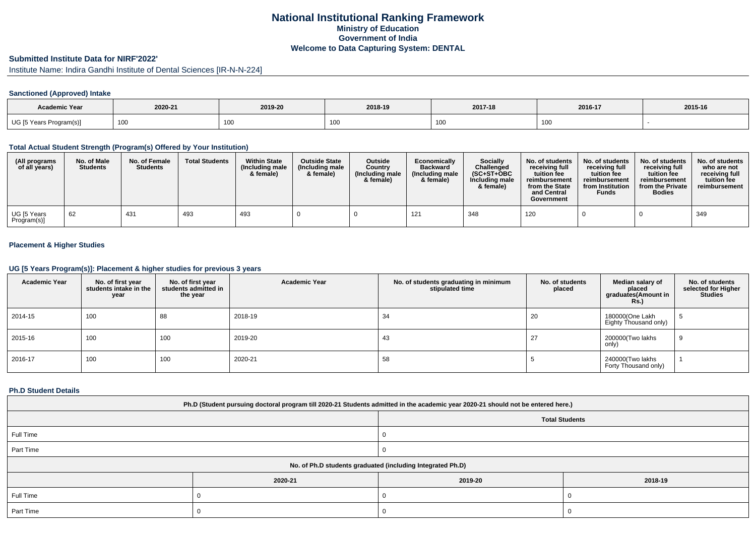# **National Institutional Ranking FrameworkMinistry of Education Government of IndiaWelcome to Data Capturing System: DENTAL**

# **Submitted Institute Data for NIRF'2022'**

Institute Name: Indira Gandhi Institute of Dental Sciences [IR-N-N-224]

### **Sanctioned (Approved) Intake**

| <b>Academic Year</b>    | 2020-21         | 2019-20 | 2018-19     | 2017-18 | 2016-17 | 2015-16 |
|-------------------------|-----------------|---------|-------------|---------|---------|---------|
| UG [5 Years Program(s)] | 10 <sup>1</sup> | 100     | $\sim$<br>. | 100     | 100     |         |

#### **Total Actual Student Strength (Program(s) Offered by Your Institution)**

| (All programs<br>of all years) | No. of Male<br><b>Students</b> | No. of Female<br><b>Students</b> | <b>Total Students</b> | <b>Within State</b><br>(Including male<br>& female) | <b>Outside State</b><br>(Including male)<br>& female) | <b>Outside</b><br>Country<br>(Including male<br>& female) | Economically<br><b>Backward</b><br>(Including male<br>& female) | <b>Socially</b><br>Challenged<br>$(SC+ST+OBC)$<br>Including male<br>& female) | No. of students<br>receivina full<br>tuition fee<br>reimbursement<br>from the State<br>and Central<br>Government | No. of students<br>receiving full<br>tuition fee<br>reimbursement<br>from Institution<br><b>Funds</b> | No. of students<br>receiving full<br>tuition fee<br>reimbursement<br>from the Private<br><b>Bodies</b> | No. of students<br>who are not<br>receiving full<br>tuition fee<br>reimbursement |
|--------------------------------|--------------------------------|----------------------------------|-----------------------|-----------------------------------------------------|-------------------------------------------------------|-----------------------------------------------------------|-----------------------------------------------------------------|-------------------------------------------------------------------------------|------------------------------------------------------------------------------------------------------------------|-------------------------------------------------------------------------------------------------------|--------------------------------------------------------------------------------------------------------|----------------------------------------------------------------------------------|
| UG [5 Years<br>Program(s)]     | 62                             | 431                              | 493                   | 493                                                 |                                                       |                                                           | 121                                                             | 348                                                                           | 120                                                                                                              |                                                                                                       |                                                                                                        | 349                                                                              |

### **Placement & Higher Studies**

#### **UG [5 Years Program(s)]: Placement & higher studies for previous 3 years**

| <b>Academic Year</b> | No. of first year<br>students intake in the<br>year | No. of first year<br>students admitted in<br>the year | <b>Academic Year</b> | No. of students graduating in minimum<br>stipulated time | No. of students<br>placed | Median salary of<br>placed<br>graduates(Amount in<br><b>Rs.)</b> | No. of students<br>selected for Higher<br><b>Studies</b> |
|----------------------|-----------------------------------------------------|-------------------------------------------------------|----------------------|----------------------------------------------------------|---------------------------|------------------------------------------------------------------|----------------------------------------------------------|
| 2014-15              | 100                                                 | 88                                                    | 2018-19              | 34                                                       | 20                        | 180000(One Lakh<br>Eighty Thousand only)                         | D.                                                       |
| 2015-16              | 100                                                 | 100                                                   | 2019-20              | 43                                                       | 27                        | 200000(Two lakhs<br>only)                                        | -9                                                       |
| 2016-17              | 100                                                 | 100                                                   | 2020-21              | 58                                                       |                           | 240000(Two lakhs<br>Forty Thousand only)                         |                                                          |

#### **Ph.D Student Details**

| Ph.D (Student pursuing doctoral program till 2020-21 Students admitted in the academic year 2020-21 should not be entered here.) |         |                       |         |  |  |  |  |
|----------------------------------------------------------------------------------------------------------------------------------|---------|-----------------------|---------|--|--|--|--|
|                                                                                                                                  |         | <b>Total Students</b> |         |  |  |  |  |
| Full Time                                                                                                                        |         |                       |         |  |  |  |  |
| Part Time                                                                                                                        |         |                       |         |  |  |  |  |
| No. of Ph.D students graduated (including Integrated Ph.D)                                                                       |         |                       |         |  |  |  |  |
|                                                                                                                                  | 2020-21 | 2019-20               | 2018-19 |  |  |  |  |
| Full Time                                                                                                                        |         |                       |         |  |  |  |  |
| Part Time                                                                                                                        |         |                       |         |  |  |  |  |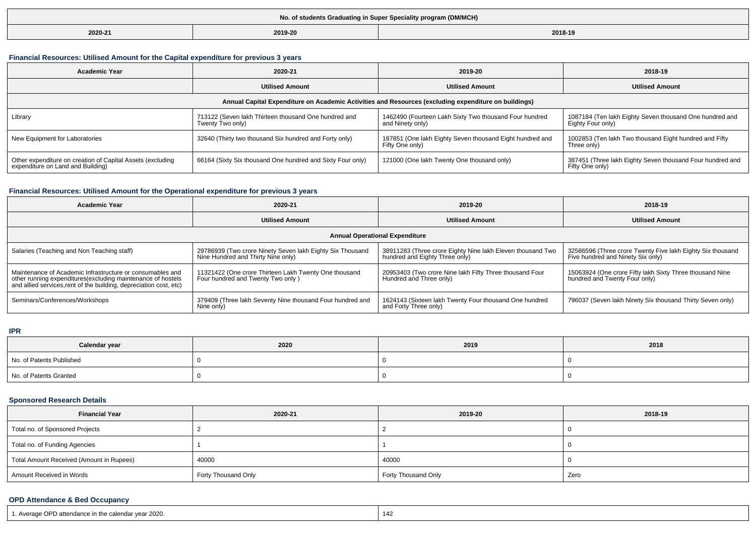| No. of students Graduating in Super Speciality program (DM/MCH) |         |         |  |  |  |  |
|-----------------------------------------------------------------|---------|---------|--|--|--|--|
| 2020-21                                                         | 2019-20 | 2018-19 |  |  |  |  |

## **Financial Resources: Utilised Amount for the Capital expenditure for previous 3 years**

| <b>Academic Year</b>                                                                                 | 2020-21                                                                  | 2019-20                                                                     | 2018-19                                                                      |  |  |  |  |  |
|------------------------------------------------------------------------------------------------------|--------------------------------------------------------------------------|-----------------------------------------------------------------------------|------------------------------------------------------------------------------|--|--|--|--|--|
|                                                                                                      | <b>Utilised Amount</b>                                                   | <b>Utilised Amount</b>                                                      | <b>Utilised Amount</b>                                                       |  |  |  |  |  |
| Annual Capital Expenditure on Academic Activities and Resources (excluding expenditure on buildings) |                                                                          |                                                                             |                                                                              |  |  |  |  |  |
| Library                                                                                              | 713122 (Seven lakh Thirteen thousand One hundred and<br>Twenty Two only) | 1462490 (Fourteen Lakh Sixty Two thousand Four hundred<br>and Ninety only)  | 1087184 (Ten lakh Eighty Seven thousand One hundred and<br>Eighty Four only) |  |  |  |  |  |
| New Equipment for Laboratories                                                                       | 32640 (Thirty two thousand Six hundred and Forty only)                   | 187851 (One lakh Eighty Seven thousand Eight hundred and<br>Fifty One only) | 1002853 (Ten lakh Two thousand Eight hundred and Fifty<br>Three only)        |  |  |  |  |  |
| Other expenditure on creation of Capital Assets (excluding<br>expenditure on Land and Building)      | 66164 (Sixty Six thousand One hundred and Sixty Four only)               | 121000 (One lakh Twenty One thousand only)                                  | 387451 (Three lakh Eighty Seven thousand Four hundred and<br>Fifty One only) |  |  |  |  |  |

## **Financial Resources: Utilised Amount for the Operational expenditure for previous 3 years**

| <b>Academic Year</b>                                                                                                                                                                            | 2020-21                                                                                         | 2019-20                                                                                      | 2018-19                                                                                         |  |  |  |  |  |
|-------------------------------------------------------------------------------------------------------------------------------------------------------------------------------------------------|-------------------------------------------------------------------------------------------------|----------------------------------------------------------------------------------------------|-------------------------------------------------------------------------------------------------|--|--|--|--|--|
|                                                                                                                                                                                                 | <b>Utilised Amount</b>                                                                          |                                                                                              | <b>Utilised Amount</b>                                                                          |  |  |  |  |  |
| <b>Annual Operational Expenditure</b>                                                                                                                                                           |                                                                                                 |                                                                                              |                                                                                                 |  |  |  |  |  |
| Salaries (Teaching and Non Teaching staff)                                                                                                                                                      | 29786939 (Two crore Ninety Seven lakh Eighty Six Thousand<br>Nine Hundred and Thirty Nine only) | 38911283 (Three crore Eighty Nine lakh Eleven thousand Two<br>hundred and Eighty Three only) | 32586596 (Three crore Twenty Five lakh Eighty Six thousand<br>Five hundred and Ninety Six only) |  |  |  |  |  |
| Maintenance of Academic Infrastructure or consumables and<br>other running expenditures (excluding maintenance of hostels<br>and allied services, rent of the building, depreciation cost, etc) | 11321422 (One crore Thirteen Lakh Twenty One thousand<br>Four hundred and Twenty Two only)      | 20953403 (Two crore Nine lakh Fifty Three thousand Four<br>Hundred and Three only)           | 15063924 (One crore Fifty lakh Sixty Three thousand Nine<br>hundred and Twenty Four only)       |  |  |  |  |  |
| Seminars/Conferences/Workshops                                                                                                                                                                  | 379409 (Three lakh Seventy Nine thousand Four hundred and<br>Nine only)                         | 1624143 (Sixteen lakh Twenty Four thousand One hundred<br>and Forty Three only)              | 796037 (Seven lakh Ninety Six thousand Thirty Seven only)                                       |  |  |  |  |  |

### **IPR**

| Calendar year            | 2020 | 2019 | 2018 |
|--------------------------|------|------|------|
| No. of Patents Published |      |      |      |
| No. of Patents Granted   |      |      |      |

## **Sponsored Research Details**

| <b>Financial Year</b>                    | 2020-21             | 2019-20             | 2018-19 |
|------------------------------------------|---------------------|---------------------|---------|
| Total no. of Sponsored Projects          |                     |                     |         |
| Total no. of Funding Agencies            |                     |                     |         |
| Total Amount Received (Amount in Rupees) | 40000               | 40000               |         |
| Amount Received in Words                 | Forty Thousand Only | Forty Thousand Only | Zero    |

### **OPD Attendance & Bed Occupancy**

| 1. Average OPD attendance in the calendar year 2020. | 142 |
|------------------------------------------------------|-----|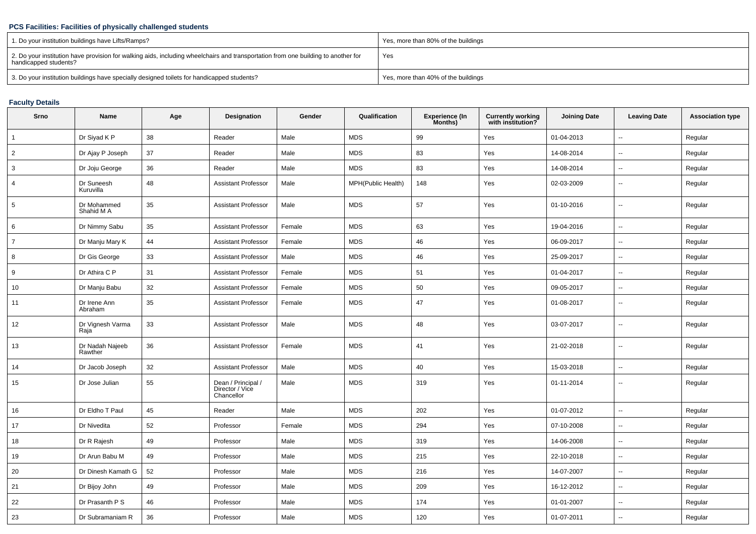## **PCS Facilities: Facilities of physically challenged students**

| 1. Do your institution buildings have Lifts/Ramps?                                                                                                         | Yes, more than 80% of the buildings |
|------------------------------------------------------------------------------------------------------------------------------------------------------------|-------------------------------------|
| 2. Do your institution have provision for walking aids, including wheelchairs and transportation from one building to another for<br>handicapped students? | Yes                                 |
| 3. Do your institution buildings have specially designed toilets for handicapped students?                                                                 | Yes, more than 40% of the buildings |

## **Faculty Details**

| Srno            | <b>Name</b>                | Age | Designation                                         | Gender | Qualification      | <b>Experience (In</b><br>Months) | Currently working<br>with institution? | <b>Joining Date</b> | <b>Leaving Date</b>      | <b>Association type</b> |
|-----------------|----------------------------|-----|-----------------------------------------------------|--------|--------------------|----------------------------------|----------------------------------------|---------------------|--------------------------|-------------------------|
| $\mathbf{1}$    | Dr Siyad K P               | 38  | Reader                                              | Male   | <b>MDS</b>         | 99                               | Yes                                    | 01-04-2013          | $\mathbf{u}$             | Regular                 |
| $\overline{c}$  | Dr Ajay P Joseph           | 37  | Reader                                              | Male   | <b>MDS</b>         | 83                               | Yes                                    | 14-08-2014          | $\overline{\phantom{a}}$ | Regular                 |
| 3               | Dr Joju George             | 36  | Reader                                              | Male   | <b>MDS</b>         | 83                               | Yes                                    | 14-08-2014          | $\sim$                   | Regular                 |
| $\overline{4}$  | Dr Suneesh<br>Kuruvilla    | 48  | <b>Assistant Professor</b>                          | Male   | MPH(Public Health) | 148                              | Yes                                    | 02-03-2009          | $\sim$                   | Regular                 |
| $5\overline{5}$ | Dr Mohammed<br>Shahid M A  | 35  | <b>Assistant Professor</b>                          | Male   | <b>MDS</b>         | 57                               | Yes                                    | 01-10-2016          | $\sim$                   | Regular                 |
| 6               | Dr Nimmy Sabu              | 35  | <b>Assistant Professor</b>                          | Female | <b>MDS</b>         | 63                               | Yes                                    | 19-04-2016          | $\mathbf{u}$             | Regular                 |
| $\overline{7}$  | Dr Manju Mary K            | 44  | <b>Assistant Professor</b>                          | Female | <b>MDS</b>         | 46                               | Yes                                    | 06-09-2017          | $\mathbf{u}$             | Regular                 |
| 8               | Dr Gis George              | 33  | <b>Assistant Professor</b>                          | Male   | <b>MDS</b>         | 46                               | Yes                                    | 25-09-2017          | $\sim$                   | Regular                 |
| 9               | Dr Athira C P              | 31  | <b>Assistant Professor</b>                          | Female | <b>MDS</b>         | 51                               | Yes                                    | 01-04-2017          | $\sim$                   | Regular                 |
| 10              | Dr Manju Babu              | 32  | <b>Assistant Professor</b>                          | Female | <b>MDS</b>         | 50                               | Yes                                    | 09-05-2017          | $\overline{\phantom{a}}$ | Regular                 |
| 11              | Dr Irene Ann<br>Abraham    | 35  | <b>Assistant Professor</b>                          | Female | <b>MDS</b>         | 47                               | Yes                                    | 01-08-2017          | $\overline{\phantom{a}}$ | Regular                 |
| 12              | Dr Vignesh Varma<br>Raja   | 33  | <b>Assistant Professor</b>                          | Male   | <b>MDS</b>         | 48                               | Yes                                    | 03-07-2017          | $\overline{\phantom{a}}$ | Regular                 |
| 13              | Dr Nadah Najeeb<br>Rawther | 36  | <b>Assistant Professor</b>                          | Female | <b>MDS</b>         | 41                               | Yes                                    | 21-02-2018          | $\sim$                   | Regular                 |
| 14              | Dr Jacob Joseph            | 32  | <b>Assistant Professor</b>                          | Male   | <b>MDS</b>         | 40                               | Yes                                    | 15-03-2018          | $\mathbf{u}$             | Regular                 |
| 15              | Dr Jose Julian             | 55  | Dean / Principal /<br>Director / Vice<br>Chancellor | Male   | <b>MDS</b>         | 319                              | Yes                                    | 01-11-2014          | $\overline{\phantom{a}}$ | Regular                 |
| 16              | Dr Eldho T Paul            | 45  | Reader                                              | Male   | <b>MDS</b>         | 202                              | Yes                                    | 01-07-2012          | $\sim$                   | Regular                 |
| 17              | Dr Nivedita                | 52  | Professor                                           | Female | <b>MDS</b>         | 294                              | Yes                                    | 07-10-2008          | $\overline{\phantom{a}}$ | Regular                 |
| 18              | Dr R Rajesh                | 49  | Professor                                           | Male   | <b>MDS</b>         | 319                              | Yes                                    | 14-06-2008          | $\overline{\phantom{a}}$ | Regular                 |
| 19              | Dr Arun Babu M             | 49  | Professor                                           | Male   | <b>MDS</b>         | 215                              | Yes                                    | 22-10-2018          | $\sim$                   | Regular                 |
| 20              | Dr Dinesh Kamath G         | 52  | Professor                                           | Male   | <b>MDS</b>         | 216                              | Yes                                    | 14-07-2007          | $\overline{\phantom{a}}$ | Regular                 |
| 21              | Dr Bijoy John              | 49  | Professor                                           | Male   | <b>MDS</b>         | 209                              | Yes                                    | 16-12-2012          | $\overline{\phantom{a}}$ | Regular                 |
| 22              | Dr Prasanth P S            | 46  | Professor                                           | Male   | <b>MDS</b>         | 174                              | Yes                                    | 01-01-2007          | $\sim$                   | Regular                 |
| 23              | Dr Subramaniam R           | 36  | Professor                                           | Male   | <b>MDS</b>         | 120                              | Yes                                    | 01-07-2011          | $\sim$                   | Regular                 |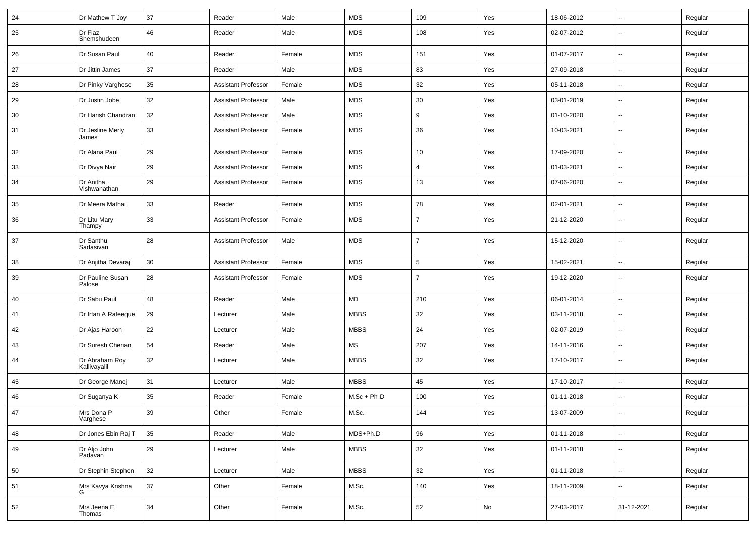| 24 | Dr Mathew T Joy                | 37     | Reader                     | Male   | <b>MDS</b>    | 109            | Yes           | 18-06-2012 | $\sim$                   | Regular |
|----|--------------------------------|--------|----------------------------|--------|---------------|----------------|---------------|------------|--------------------------|---------|
| 25 | Dr Fiaz<br>Shemshudeen         | 46     | Reader                     | Male   | <b>MDS</b>    | 108            | Yes           | 02-07-2012 | $\overline{\phantom{a}}$ | Regular |
| 26 | Dr Susan Paul                  | 40     | Reader                     | Female | <b>MDS</b>    | 151            | Yes           | 01-07-2017 | $\sim$                   | Regular |
| 27 | Dr Jittin James                | 37     | Reader                     | Male   | <b>MDS</b>    | 83             | Yes           | 27-09-2018 | $\sim$                   | Regular |
| 28 | Dr Pinky Varghese              | 35     | <b>Assistant Professor</b> | Female | <b>MDS</b>    | 32             | Yes           | 05-11-2018 | $\sim$                   | Regular |
| 29 | Dr Justin Jobe                 | 32     | <b>Assistant Professor</b> | Male   | <b>MDS</b>    | 30             | Yes           | 03-01-2019 | $\sim$                   | Regular |
| 30 | Dr Harish Chandran             | 32     | <b>Assistant Professor</b> | Male   | <b>MDS</b>    | 9              | Yes           | 01-10-2020 | ÷.                       | Regular |
| 31 | Dr Jesline Merly<br>James      | 33     | <b>Assistant Professor</b> | Female | <b>MDS</b>    | 36             | Yes           | 10-03-2021 | $\sim$                   | Regular |
| 32 | Dr Alana Paul                  | 29     | <b>Assistant Professor</b> | Female | <b>MDS</b>    | 10             | Yes           | 17-09-2020 | $\sim$                   | Regular |
| 33 | Dr Divya Nair                  | 29     | <b>Assistant Professor</b> | Female | <b>MDS</b>    | 4              | Yes           | 01-03-2021 | $\overline{\phantom{a}}$ | Regular |
| 34 | Dr Anitha<br>Vishwanathan      | 29     | <b>Assistant Professor</b> | Female | <b>MDS</b>    | 13             | Yes           | 07-06-2020 | $\overline{\phantom{a}}$ | Regular |
| 35 | Dr Meera Mathai                | 33     | Reader                     | Female | <b>MDS</b>    | 78             | Yes           | 02-01-2021 | Ξ.                       | Regular |
| 36 | Dr Litu Mary<br>Thampy         | 33     | <b>Assistant Professor</b> | Female | <b>MDS</b>    | $\overline{7}$ | Yes           | 21-12-2020 | $\overline{\phantom{a}}$ | Regular |
| 37 | Dr Santhu<br>Sadasivan         | 28     | <b>Assistant Professor</b> | Male   | <b>MDS</b>    | $\overline{7}$ | Yes           | 15-12-2020 | $\overline{\phantom{a}}$ | Regular |
| 38 | Dr Anjitha Devaraj             | 30     | <b>Assistant Professor</b> | Female | <b>MDS</b>    | 5              | Yes           | 15-02-2021 | $\sim$                   | Regular |
| 39 | Dr Pauline Susan<br>Palose     | 28     | <b>Assistant Professor</b> | Female | <b>MDS</b>    | $\overline{7}$ | Yes           | 19-12-2020 | $\overline{\phantom{a}}$ | Regular |
| 40 | Dr Sabu Paul                   | 48     | Reader                     | Male   | MD            | 210            | Yes           | 06-01-2014 | $\overline{\phantom{a}}$ | Regular |
| 41 | Dr Irfan A Rafeeque            | 29     | Lecturer                   | Male   | <b>MBBS</b>   | 32             | Yes           | 03-11-2018 | $\sim$                   | Regular |
| 42 | Dr Ajas Haroon                 | 22     | Lecturer                   | Male   | <b>MBBS</b>   | 24             | Yes           | 02-07-2019 | $\sim$                   | Regular |
| 43 | Dr Suresh Cherian              | 54     | Reader                     | Male   | <b>MS</b>     | 207            | Yes           | 14-11-2016 | ⊷.                       | Regular |
| 44 | Dr Abraham Roy<br>Kallivayalil | 32     | Lecturer                   | Male   | <b>MBBS</b>   | 32             | Yes           | 17-10-2017 | $\sim$                   | Regular |
| 45 | Dr George Manoj                | 31     | Lecturer                   | Male   | <b>MBBS</b>   | 45             | Yes           | 17-10-2017 | $\sim$                   | Regular |
| 46 | Dr Suganya K                   | 35     | Reader                     | Female | $M.Sc + Ph.D$ | 100            | Yes           | 01-11-2018 | $\overline{\phantom{a}}$ | Regular |
| 47 | Mrs Dona P<br>Varghese         | 39     | Other                      | Female | M.Sc.         | 144            | Yes           | 13-07-2009 |                          | Regular |
| 48 | Dr Jones Ebin Raj T            | 35     | Reader                     | Male   | MDS+Ph.D      | 96             | Yes           | 01-11-2018 | $\bar{\phantom{a}}$      | Regular |
| 49 | Dr Aljo John<br>Padavan        | 29     | Lecturer                   | Male   | <b>MBBS</b>   | 32             | Yes           | 01-11-2018 | $\sim$                   | Regular |
| 50 | Dr Stephin Stephen             | 32     | Lecturer                   | Male   | <b>MBBS</b>   | 32             | Yes           | 01-11-2018 | $\sim$                   | Regular |
| 51 | Mrs Kavya Krishna              | $37\,$ | Other                      | Female | M.Sc.         | 140            | Yes           | 18-11-2009 | $\sim$                   | Regular |
| 52 | Mrs Jeena E<br>Thomas          | 34     | Other                      | Female | M.Sc.         | 52             | $\mathsf{No}$ | 27-03-2017 | 31-12-2021               | Regular |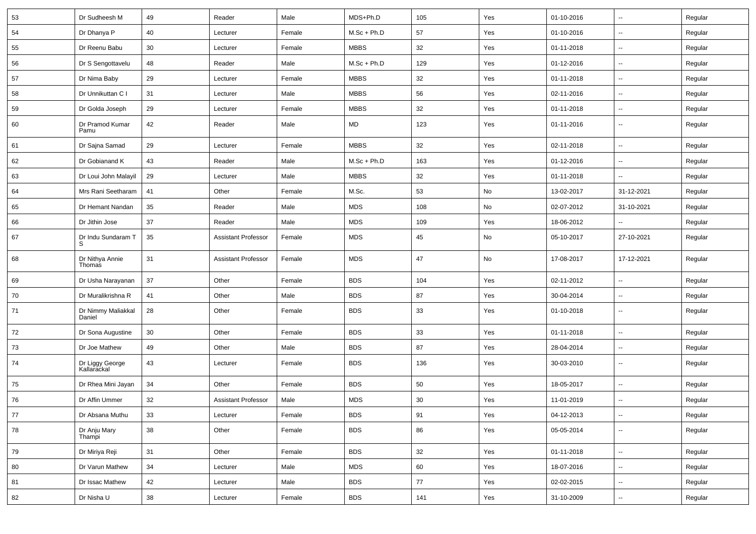| 53                                                                         | Dr Sudheesh M                  | 49 | Reader                     | Male   | MDS+Ph.D      | 105 | Yes | 01-10-2016 | $\overline{\phantom{a}}$ | Regular |
|----------------------------------------------------------------------------|--------------------------------|----|----------------------------|--------|---------------|-----|-----|------------|--------------------------|---------|
| 54                                                                         | Dr Dhanya P                    | 40 | Lecturer                   | Female | $M.Sc + Ph.D$ | 57  | Yes | 01-10-2016 | $\mathbf{u}$             | Regular |
| 55                                                                         | Dr Reenu Babu                  | 30 | Lecturer                   | Female | <b>MBBS</b>   | 32  | Yes | 01-11-2018 | $\overline{a}$           | Regular |
| 56                                                                         | Dr S Sengottavelu              | 48 | Reader                     | Male   | $M.Sc + Ph.D$ | 129 | Yes | 01-12-2016 | $\overline{\phantom{a}}$ | Regular |
| 57                                                                         | Dr Nima Baby                   | 29 | Lecturer                   | Female | <b>MBBS</b>   | 32  | Yes | 01-11-2018 | $\overline{\phantom{a}}$ | Regular |
| 58                                                                         | Dr Unnikuttan C I              | 31 | Lecturer                   | Male   | <b>MBBS</b>   | 56  | Yes | 02-11-2016 | $\sim$                   | Regular |
| 59                                                                         | Dr Golda Joseph                | 29 | Lecturer                   | Female | <b>MBBS</b>   | 32  | Yes | 01-11-2018 | $\overline{\phantom{a}}$ | Regular |
| 60                                                                         | Dr Pramod Kumar<br>Pamu        | 42 | Reader                     | Male   | MD            | 123 | Yes | 01-11-2016 | $\overline{\phantom{a}}$ | Regular |
| 61                                                                         | Dr Sajna Samad                 | 29 | Lecturer                   | Female | <b>MBBS</b>   | 32  | Yes | 02-11-2018 | $\overline{\phantom{a}}$ | Regular |
| 62                                                                         | Dr Gobianand K                 | 43 | Reader                     | Male   | $M.Sc + Ph.D$ | 163 | Yes | 01-12-2016 | $\overline{\phantom{a}}$ | Regular |
| 63                                                                         | Dr Loui John Malayil           | 29 | Lecturer                   | Male   | <b>MBBS</b>   | 32  | Yes | 01-11-2018 |                          | Regular |
| 64                                                                         | Mrs Rani Seetharam             | 41 | Other                      | Female | M.Sc.         | 53  | No  | 13-02-2017 | 31-12-2021               | Regular |
| 65                                                                         | Dr Hemant Nandan               | 35 | Reader                     | Male   | <b>MDS</b>    | 108 | No  | 02-07-2012 | 31-10-2021               | Regular |
| 66                                                                         | Dr Jithin Jose                 | 37 | Reader                     | Male   | <b>MDS</b>    | 109 | Yes | 18-06-2012 | $\overline{\phantom{a}}$ | Regular |
| 67                                                                         | Dr Indu Sundaram T             | 35 | <b>Assistant Professor</b> | Female | <b>MDS</b>    | 45  | No  | 05-10-2017 | 27-10-2021               | Regular |
| 68                                                                         | Dr Nithya Annie<br>Thomas      | 31 | <b>Assistant Professor</b> | Female | <b>MDS</b>    | 47  | No  | 17-08-2017 | 17-12-2021               | Regular |
| 69                                                                         | Dr Usha Narayanan              | 37 | Other                      | Female | <b>BDS</b>    | 104 | Yes | 02-11-2012 | Ξ.                       | Regular |
| 70                                                                         | Dr Muralikrishna R             | 41 | Other                      | Male   | <b>BDS</b>    | 87  | Yes | 30-04-2014 | $\overline{\phantom{a}}$ | Regular |
| 71                                                                         | Dr Nimmy Maliakkal<br>Daniel   | 28 | Other                      | Female | <b>BDS</b>    | 33  | Yes | 01-10-2018 | $\overline{\phantom{a}}$ | Regular |
| 72                                                                         | Dr Sona Augustine              | 30 | Other                      | Female | <b>BDS</b>    | 33  | Yes | 01-11-2018 | --                       | Regular |
| 73                                                                         | Dr Joe Mathew                  | 49 | Other                      | Male   | <b>BDS</b>    | 87  | Yes | 28-04-2014 | Ξ.                       | Regular |
| 74                                                                         | Dr Liggy George<br>Kallarackal | 43 | Lecturer                   | Female | <b>BDS</b>    | 136 | Yes | 30-03-2010 | $\overline{\phantom{a}}$ | Regular |
| 75                                                                         | Dr Rhea Mini Jayan             | 34 | Other                      | Female | <b>BDS</b>    | 50  | Yes | 18-05-2017 | $\sim$                   | Regular |
| 76                                                                         | Dr Affin Ummer                 | 32 | <b>Assistant Professor</b> | Male   | <b>MDS</b>    | 30  | Yes | 11-01-2019 | $\sim$                   | Regular |
| $\begin{array}{c} \n \begin{array}{c} \n 77 \n \end{array} \n \end{array}$ | Dr Absana Muthu                | 33 | Lecturer                   | Female | BDS           | 91  | Yes | 04-12-2013 | --                       | Regular |
| 78                                                                         | Dr Anju Mary<br>Thampi         | 38 | Other                      | Female | <b>BDS</b>    | 86  | Yes | 05-05-2014 | ⊷.                       | Regular |
| 79                                                                         | Dr Miriya Reji                 | 31 | Other                      | Female | <b>BDS</b>    | 32  | Yes | 01-11-2018 | $\sim$                   | Regular |
| 80                                                                         | Dr Varun Mathew                | 34 | Lecturer                   | Male   | <b>MDS</b>    | 60  | Yes | 18-07-2016 | $\sim$                   | Regular |
| 81                                                                         | Dr Issac Mathew                | 42 | Lecturer                   | Male   | <b>BDS</b>    | 77  | Yes | 02-02-2015 | $\sim$                   | Regular |
| 82                                                                         | Dr Nisha U                     | 38 | Lecturer                   | Female | <b>BDS</b>    | 141 | Yes | 31-10-2009 | $\sim$                   | Regular |